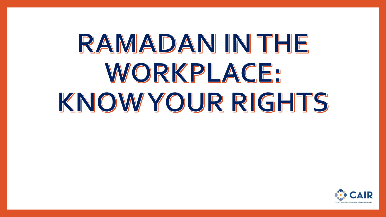# RAMADAN IN THE WORKPLACE: KNOWYOUR RIGHTS

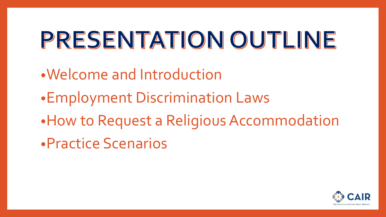## PRESENTATION OUTLINE

- •Welcome and Introduction
- •Employment Discrimination Laws
- •How to Request a Religious Accommodation
- •Practice Scenarios

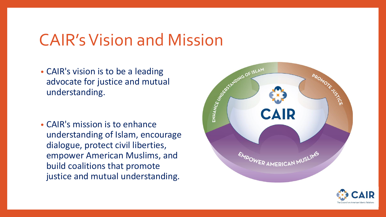### CAIR's Vision and Mission

• CAIR's vision is to be a leading advocate for justice and mutual understanding.

• CAIR's mission is to enhance understanding of Islam, encourage dialogue, protect civil liberties, empower American Muslims, and build coalitions that promote justice and mutual understanding.



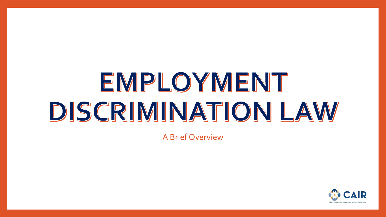## EMPLOYMENT DISCRIMINATION LAW

A Brief Overview

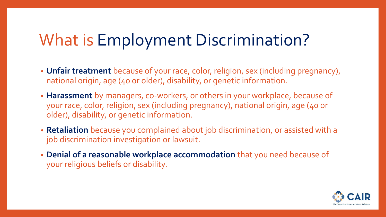### What is Employment Discrimination?

- **Unfair treatment** because of your race, color, religion, sex (including pregnancy), national origin, age (40 or older), disability, or genetic information.
- **Harassment** by managers, co-workers, or others in your workplace, because of your race, color, religion, sex (including pregnancy), national origin, age (40 or older), disability, or genetic information.
- **Retaliation** because you complained about job discrimination, or assisted with a job discrimination investigation or lawsuit.
- **Denial of a reasonable workplace accommodation** that you need because of your religious beliefs or disability.

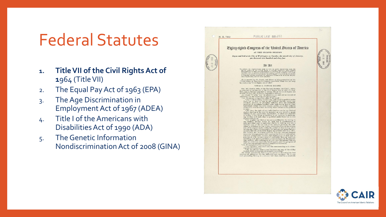### Federal Statutes

- **1. Title VII of the Civil Rights Act of 1**964 (Title VII)
- 2. The Equal Pay Act of 1963 (EPA)
- 3. The Age Discrimination in Employment Act of 1967 (ADEA)
- 4. Title I of the Americans with Disabilities Act of 1990 (ADA)
- 5. The Genetic Information Nondiscrimination Act of 2008 (GINA)

|  | Eighty-eighth Congress of the United States of America                                                                                                                                                                                                                                                                                                                                                                                                                                                                                                                                                                                                                    |  |
|--|---------------------------------------------------------------------------------------------------------------------------------------------------------------------------------------------------------------------------------------------------------------------------------------------------------------------------------------------------------------------------------------------------------------------------------------------------------------------------------------------------------------------------------------------------------------------------------------------------------------------------------------------------------------------------|--|
|  | AT THE SECOND SESSION<br>Begun and held at the City of Washington on Tuesday, the seventh day of January,                                                                                                                                                                                                                                                                                                                                                                                                                                                                                                                                                                 |  |
|  | one thousand nine hundred and sixty-four                                                                                                                                                                                                                                                                                                                                                                                                                                                                                                                                                                                                                                  |  |
|  | <b>2n 2tt</b>                                                                                                                                                                                                                                                                                                                                                                                                                                                                                                                                                                                                                                                             |  |
|  | To enforce the constitutional right to veto, to each<br>$\kappa$ particlele-inea para the different energy different<br>constant $\kappa$ and $\kappa$ different control of the United States to provide in<br>junctive relict against discrimi                                                                                                                                                                                                                                                                                                                                                                                                                           |  |
|  | Be it enacted by the Senate and House of Representatives of the United States of America in Congress assembled, That this Act may be cited as the "Civil Rights Act of 1964".                                                                                                                                                                                                                                                                                                                                                                                                                                                                                             |  |
|  | TITLE I-VOTING RIGHTS                                                                                                                                                                                                                                                                                                                                                                                                                                                                                                                                                                                                                                                     |  |
|  | SEC. 101. Section 2004 of the Revised Statutes (42 U.S.C. 1971), as an<br>ended by section 131 of the Civil Rights Act of 1957 (71 Stat. 637), and as further an<br>ended by section 604 of the Civil Rights Act of 1967 (64 Stat.<br>subsection (a) the following new paragraphs:<br>$^{(19)}$ No person acting under color of law shall—<br>$^{(19)}$ No person acting under color of law shall—<br>$^{(10)}$ N in determining whether any midividual is qualified under<br>State law or laws to vote in any Federal election, a<br>individuals within the same county, parish, or similar political subdivision who have been found by State officials to be qualified |  |
|  | to vote ;<br>"(IS) deny the right of any individual to vote in any Federal election because of an error or omission on any record or paper<br>relating to any application, registration, or other act requisite<br>to voting, if such error or omission is not material in determin-<br>ing whether such individual is qualified under State law to vote<br>to voing, if such revor or ones<br>some is not maternal in othermation of the galaxy of the symbol parameter<br>$\mathbf{a}$ and the symbol map of the parameter of the symbol and the<br>distribution of the symbol sample feed on the sy                                                                    |  |
|  |                                                                                                                                                                                                                                                                                                                                                                                                                                                                                                                                                                                                                                                                           |  |
|  |                                                                                                                                                                                                                                                                                                                                                                                                                                                                                                                                                                                                                                                                           |  |

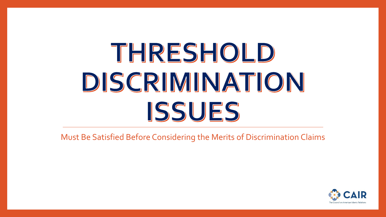## THRESHOLD DISCRIMINATION ISSUES

Must Be Satisfied Before Considering the Merits of Discrimination Claims

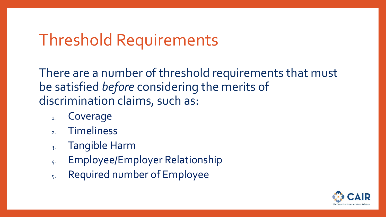### Threshold Requirements

There are a number of threshold requirements that must be satisfied *before* considering the merits of discrimination claims, such as:

- 1. Coverage
- **Timeliness**
- 3. Tangible Harm
- 4. Employee/Employer Relationship
- 5. Required number of Employee

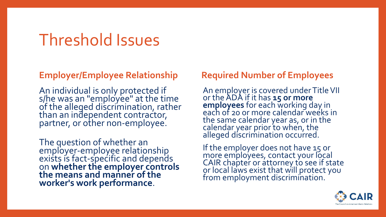### Threshold Issues

#### **Employer/Employee Relationship**

An individual is only protected if s/he was an "employee" at the time of the alleged discrimination, rather than an independent contractor, partner, or other non-employee.

The question of whether an employer-employee relationship exists is fact-specific and depends on **whether the employer controls the means and manner of the worker's work performance**.

#### **Required Number of Employees**

An employer is covered under Title VII or the ADA if it has **15 or more employees** for each working day in each of 20 or more calendar weeks in the same calendar year as, or in the calendar year prior to when, the alleged discrimination occurred.

If the employer does not have 15 or more employees, contact your local CAIR chapter or attorney to see if state or local laws exist that will protect you from employment discrimination.

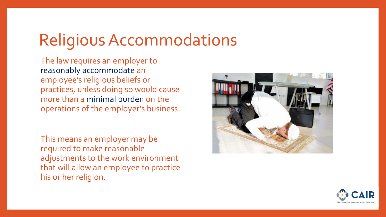### Religious Accommodations

The law requires an employer to reasonably accommodate an employee's religious beliefs or practices, unless doing so would cause more than a minimal burden on the operations of the employer's business.

This means an employer may be required to make reasonable adjustments to the work environment that will allow an employee to practice his or her religion.



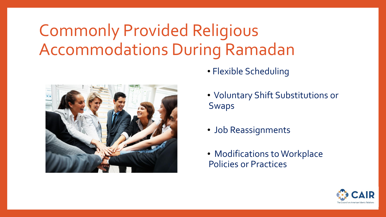### Commonly Provided Religious Accommodations During Ramadan



- Flexible Scheduling
- Voluntary Shift Substitutions or Swaps
- Job Reassignments
- Modifications to Workplace Policies or Practices

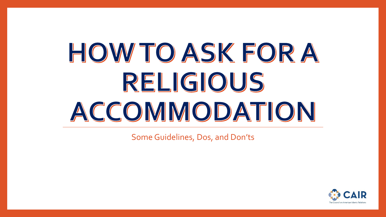# HOW TO ASK FOR A RELIGIOUS ACCOMMODATION

Some Guidelines, Dos, and Don'ts

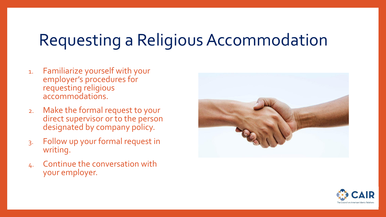### Requesting a Religious Accommodation

- 1. Familiarize yourself with your employer's procedures for requesting religious accommodations.
- 2. Make the formal request to your direct supervisor or to the person designated by company policy.
- 3. Follow up your formal request in writing.
- 4. Continue the conversation with your employer.



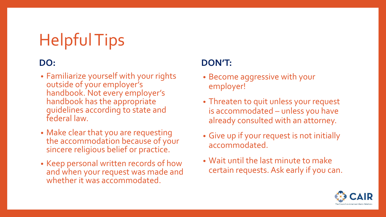### Helpful Tips

#### **DO:**

- Familiarize yourself with your rights outside of your employer's handbook. Not every employer's handbook has the appropriate guidelines according to state and federal law.
- Make clear that you are requesting the accommodation because of your sincere religious belief or practice.
- Keep personal written records of how and when your request was made and whether it was accommodated.

#### **DON'T:**

- Become aggressive with your employer!
- Threaten to quit unless your request is accommodated – unless you have already consulted with an attorney.
- Give up if your request is not initially accommodated.
- Wait until the last minute to make certain requests. Ask early if you can.